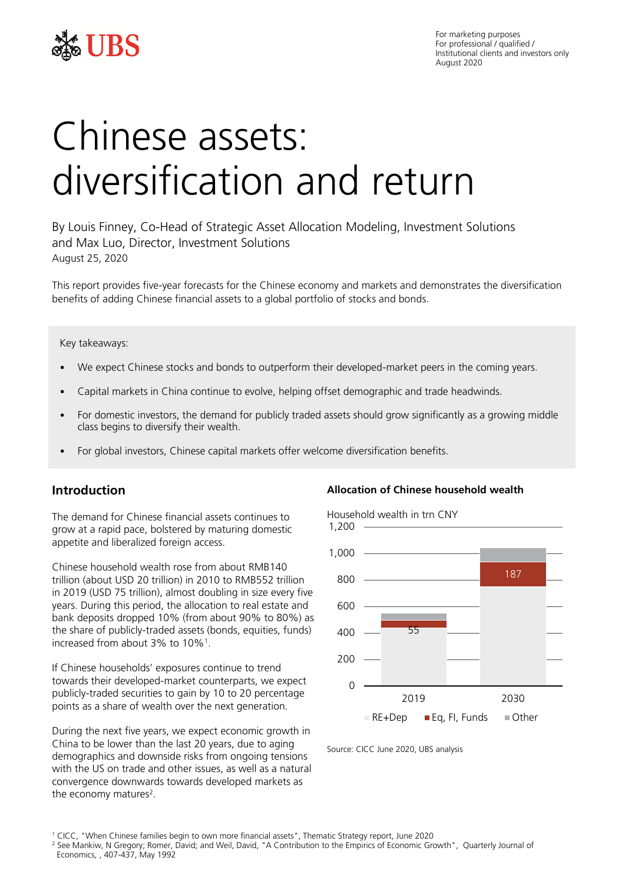

For marketing purposes For professional / qualified / Institutional clients and investors only August 2020

# Chinese assets: diversification and return

By Louis Finney, Co-Head of Strategic Asset Allocation Modeling, Investment Solutions and Max Luo, Director, Investment Solutions August 25, 2020

This report provides five-year forecasts for the Chinese economy and markets and demonstrates the diversification benefits of adding Chinese financial assets to a global portfolio of stocks and bonds.

#### Key takeaways:

- We expect Chinese stocks and bonds to outperform their developed-market peers in the coming years.
- Capital markets in China continue to evolve, helping offset demographic and trade headwinds.
- For domestic investors, the demand for publicly traded assets should grow significantly as a growing middle class begins to diversify their wealth.
- For global investors, Chinese capital markets offer welcome diversification benefits.

## **Introduction**

The demand for Chinese financial assets continues to grow at a rapid pace, bolstered by maturing domestic appetite and liberalized foreign access.

Chinese household wealth rose from about RMB140 trillion (about USD 20 trillion) in 2010 to RMB552 trillion in 2019 (USD 75 trillion), almost doubling in size every five years. During this period, the allocation to real estate and bank deposits dropped 10% (from about 90% to 80%) as the share of publicly-traded assets (bonds, equities, funds) increased from about 3% to 10%<sup>1</sup> .

If Chinese households' exposures continue to trend towards their developed-market counterparts, we expect publicly-traded securities to gain by 10 to 20 percentage points as a share of wealth over the next generation.

During the next five years, we expect economic growth in China to be lower than the last 20 years, due to aging demographics and downside risks from ongoing tensions with the US on trade and other issues, as well as a natural convergence downwards towards developed markets as the economy matures<sup>2</sup>.

#### **Allocation of Chinese household wealth**

Household wealth in trn CNY



Source: CICC June 2020, UBS analysis

<sup>2</sup> See Mankiw, N Gregory; Romer, David; and Weil, David, "A Contribution to the Empirics of Economic Growth", Quarterly Journal of Economics, , 407-437, May 1992

<sup>1</sup> CICC, "When Chinese families begin to own more financial assets", Thematic Strategy report, June 2020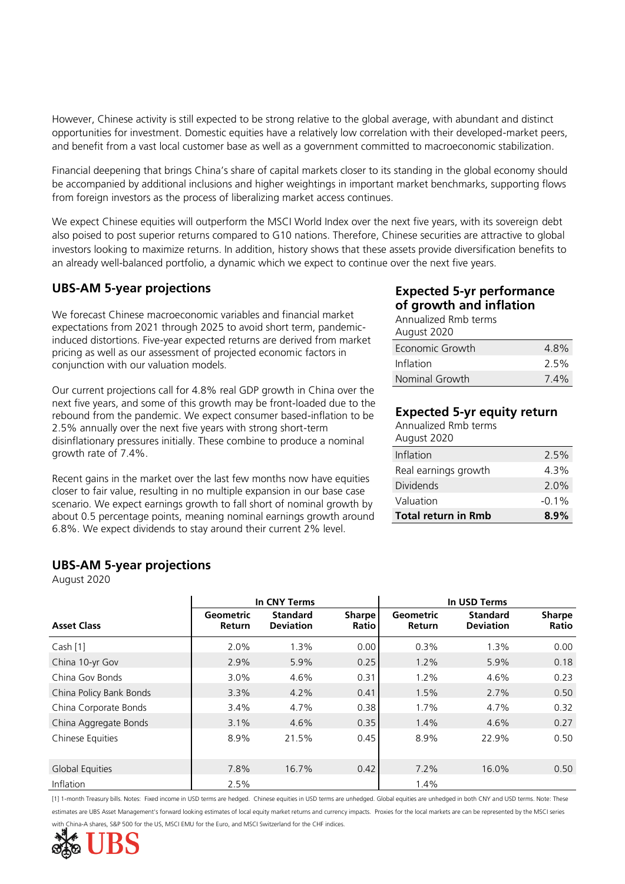However, Chinese activity is still expected to be strong relative to the global average, with abundant and distinct opportunities for investment. Domestic equities have a relatively low correlation with their developed-market peers, and benefit from a vast local customer base as well as a government committed to macroeconomic stabilization.

Financial deepening that brings China's share of capital markets closer to its standing in the global economy should be accompanied by additional inclusions and higher weightings in important market benchmarks, supporting flows from foreign investors as the process of liberalizing market access continues.

We expect Chinese equities will outperform the MSCI World Index over the next five years, with its sovereign debt also poised to post superior returns compared to G10 nations. Therefore, Chinese securities are attractive to global investors looking to maximize returns. In addition, history shows that these assets provide diversification benefits to an already well-balanced portfolio, a dynamic which we expect to continue over the next five years.

## **UBS-AM 5-year projections**

We forecast Chinese macroeconomic variables and financial market expectations from 2021 through 2025 to avoid short term, pandemicinduced distortions. Five-year expected returns are derived from market pricing as well as our assessment of projected economic factors in conjunction with our valuation models.

Our current projections call for 4.8% real GDP growth in China over the next five years, and some of this growth may be front-loaded due to the rebound from the pandemic. We expect consumer based-inflation to be 2.5% annually over the next five years with strong short-term disinflationary pressures initially. These combine to produce a nominal growth rate of 7.4%.

Recent gains in the market over the last few months now have equities closer to fair value, resulting in no multiple expansion in our base case scenario. We expect earnings growth to fall short of nominal growth by about 0.5 percentage points, meaning nominal earnings growth around 6.8%. We expect dividends to stay around their current 2% level.

## **UBS-AM 5-year projections**

August 2020

|                         | In CNY Terms                      |                                     |                        | In USD Terms               |                                     |                        |  |
|-------------------------|-----------------------------------|-------------------------------------|------------------------|----------------------------|-------------------------------------|------------------------|--|
| <b>Asset Class</b>      | <b>Geometric</b><br><b>Return</b> | <b>Standard</b><br><b>Deviation</b> | <b>Sharpe</b><br>Ratio | Geometric<br><b>Return</b> | <b>Standard</b><br><b>Deviation</b> | <b>Sharpe</b><br>Ratio |  |
| Cash [1]                | 2.0%                              | 1.3%                                | 0.00                   | 0.3%                       | 1.3%                                | 0.00                   |  |
| China 10-yr Gov         | 2.9%                              | 5.9%                                | 0.25                   | 1.2%                       | 5.9%                                | 0.18                   |  |
| China Gov Bonds         | 3.0%                              | 4.6%                                | 0.31                   | 1.2%                       | 4.6%                                | 0.23                   |  |
| China Policy Bank Bonds | 3.3%                              | 4.2%                                | 0.41                   | 1.5%                       | 2.7%                                | 0.50                   |  |
| China Corporate Bonds   | 3.4%                              | 4.7%                                | 0.38                   | 1.7%                       | 4.7%                                | 0.32                   |  |
| China Aggregate Bonds   | 3.1%                              | 4.6%                                | 0.35                   | 1.4%                       | 4.6%                                | 0.27                   |  |
| Chinese Equities        | 8.9%                              | 21.5%                               | 0.45                   | 8.9%                       | 22.9%                               | 0.50                   |  |
| Global Equities         | 7.8%                              | 16.7%                               | 0.42                   | 7.2%                       | 16.0%                               | 0.50                   |  |
| Inflation               | 2.5%                              |                                     |                        | 1.4%                       |                                     |                        |  |

[1] 1-month Treasury bills. Notes: Fixed income in USD terms are hedged. Chinese equities in USD terms are unhedged. Global equities are unhedged in both CNY and USD terms. Note: These estimates are UBS Asset Management's forward looking estimates of local equity market returns and currency impacts. Proxies for the local markets are can be represented by the MSCI series -A shares, S&P 500 for the US, MSCI EMU for the Euro, and MSCI Switzerland for the CHF indices.



## **Expected 5-yr performance of growth and inflation**

Annualized Rmb terms August 2020

| Economic Growth | 4.8%    |
|-----------------|---------|
| Inflation       | 2.5%    |
| Nominal Growth  | $7.4\%$ |

## **Expected 5-yr equity return**

| <b>Total return in Rmb</b>          | $8.9\%$  |
|-------------------------------------|----------|
| Valuation                           | $-0.1\%$ |
| <b>Dividends</b>                    | 2.0%     |
| Real earnings growth                | 4.3%     |
| Inflation                           | 2.5%     |
| Annualized Rmb terms<br>August 2020 |          |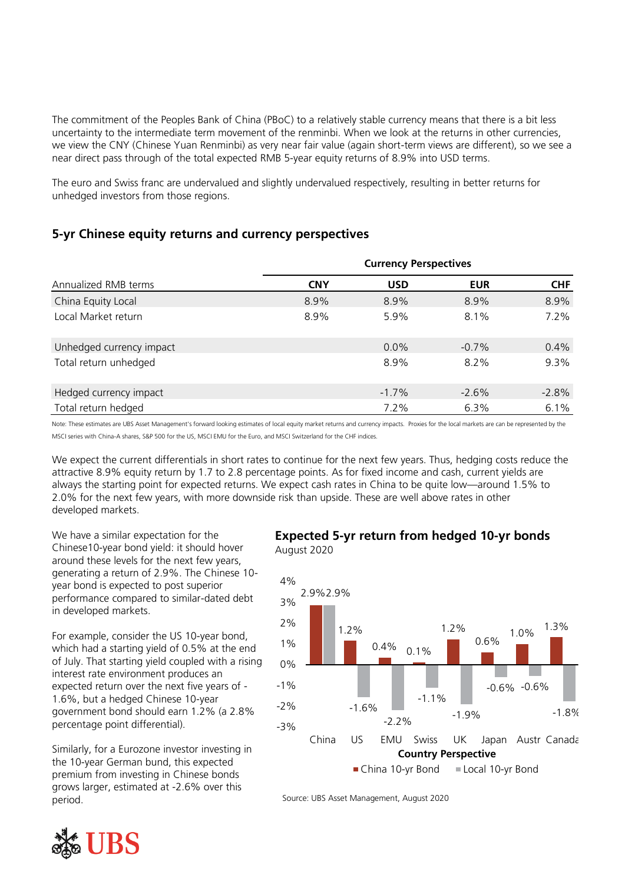The commitment of the Peoples Bank of China (PBoC) to a relatively stable currency means that there is a bit less uncertainty to the intermediate term movement of the renminbi. When we look at the returns in other currencies, we view the CNY (Chinese Yuan Renminbi) as very near fair value (again short-term views are different), so we see a near direct pass through of the total expected RMB 5-year equity returns of 8.9% into USD terms.

The euro and Swiss franc are undervalued and slightly undervalued respectively, resulting in better returns for unhedged investors from those regions.

## **5-yr Chinese equity returns and currency perspectives**

|                          | <b>Currency Perspectives</b> |            |            |            |  |
|--------------------------|------------------------------|------------|------------|------------|--|
| Annualized RMB terms     | <b>CNY</b>                   | <b>USD</b> | <b>EUR</b> | <b>CHF</b> |  |
| China Equity Local       | 8.9%                         | 8.9%       | 8.9%       | 8.9%       |  |
| Local Market return      | 8.9%                         | 5.9%       | $8.1\%$    | 7.2%       |  |
| Unhedged currency impact |                              | $0.0\%$    | $-0.7%$    | 0.4%       |  |
| Total return unhedged    |                              | 8.9%       | $8.2\%$    | 9.3%       |  |
| Hedged currency impact   |                              | $-1.7\%$   | $-2.6%$    | $-2.8%$    |  |
| Total return hedged      |                              | 7.2%       | 6.3%       | 6.1%       |  |

Note: These estimates are UBS Asset Management's forward looking estimates of local equity market returns and currency impacts. Proxies for the local markets are can be represented by the MSCI series with China-A shares, S&P 500 for the US, MSCI EMU for the Euro, and MSCI Switzerland for the CHF indices.

We expect the current differentials in short rates to continue for the next few years. Thus, hedging costs reduce the attractive 8.9% equity return by 1.7 to 2.8 percentage points. As for fixed income and cash, current yields are always the starting point for expected returns. We expect cash rates in China to be quite low—around 1.5% to 2.0% for the next few years, with more downside risk than upside. These are well above rates in other developed markets.

We have a similar expectation for the Chinese10-year bond yield: it should hover around these levels for the next few years, generating a return of 2.9%. The Chinese 10 year bond is expected to post superior performance compared to similar-dated debt in developed markets.

For example, consider the US 10-year bond, which had a starting yield of 0.5% at the end of July. That starting yield coupled with a rising interest rate environment produces an expected return over the next five years of - 1.6%, but a hedged Chinese 10-year government bond should earn 1.2% (a 2.8% percentage point differential).

Similarly, for a Eurozone investor investing in the 10-year German bund, this expected premium from investing in Chinese bonds grows larger, estimated at -2.6% over this period.

## **Expected 5-yr return from hedged 10-yr bonds** August 2020



Source: UBS Asset Management, August 2020

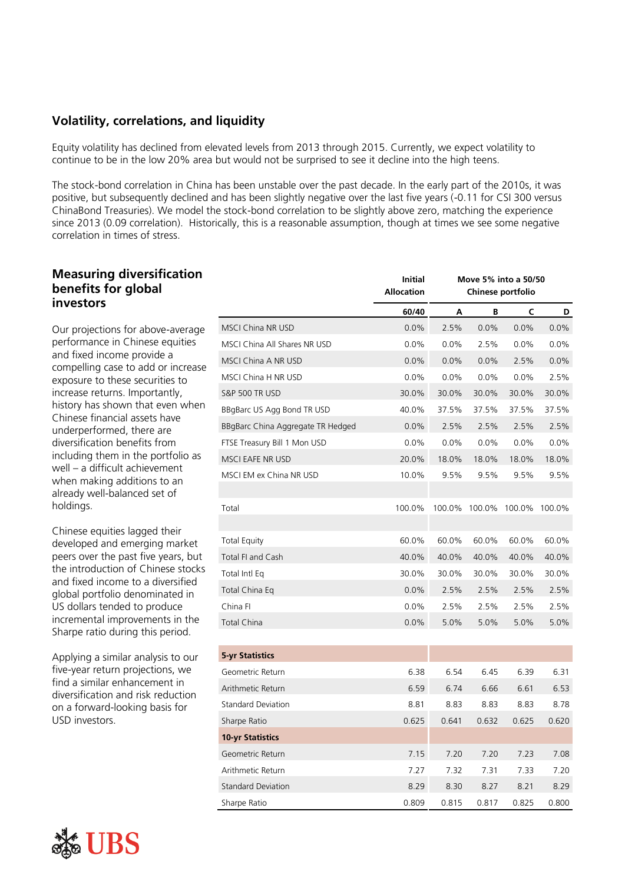## **Volatility, correlations, and liquidity**

Equity volatility has declined from elevated levels from 2013 through 2015. Currently, we expect volatility to continue to be in the low 20% area but would not be surprised to see it decline into the high teens.

The stock-bond correlation in China has been unstable over the past decade. In the early part of the 2010s, it was positive, but subsequently declined and has been slightly negative over the last five years (-0.11 for CSI 300 versus ChinaBond Treasuries). We model the stock-bond correlation to be slightly above zero, matching the experience since 2013 (0.09 correlation). Historically, this is a reasonable assumption, though at times we see some negative correlation in times of stress.

### **Measuring diversification benefits for global investors**

Our projections for above-average performance in Chinese equities and fixed income provide a compelling case to add or increase exposure to these securities to increase returns. Importantly, history has shown that even when Chinese financial assets have underperformed, there are diversification benefits from including them in the portfolio as well – a difficult achievement when making additions to an already well-balanced set of holdings.

Chinese equities lagged their developed and emerging market peers over the past five years, but the introduction of Chinese stocks and fixed income to a diversified global portfolio denominated in US dollars tended to produce incremental improvements in the Sharpe ratio during this period.

Applying a similar analysis to our five-year return projections, we find a similar enhancement in diversification and risk reduction on a forward-looking basis for USD investors.



|                                   | <b>Initial</b><br><b>Allocation</b> | Move 5% into a 50/50<br>Chinese portfolio |        |        |         |
|-----------------------------------|-------------------------------------|-------------------------------------------|--------|--------|---------|
|                                   | 60/40                               | А                                         | В      | C      | D       |
| MSCI China NR USD                 | 0.0%                                | 2.5%                                      | 0.0%   | 0.0%   | $0.0\%$ |
| MSCI China All Shares NR USD      | 0.0%                                | 0.0%                                      | 2.5%   | 0.0%   | 0.0%    |
| MSCI China A NR USD               | 0.0%                                | 0.0%                                      | 0.0%   | 2.5%   | 0.0%    |
| MSCI China H NR USD               | 0.0%                                | 0.0%                                      | 0.0%   | 0.0%   | 2.5%    |
| <b>S&amp;P 500 TR USD</b>         | 30.0%                               | 30.0%                                     | 30.0%  | 30.0%  | 30.0%   |
| BBgBarc US Agg Bond TR USD        | 40.0%                               | 37.5%                                     | 37.5%  | 37.5%  | 37.5%   |
| BBgBarc China Aggregate TR Hedged | 0.0%                                | 2.5%                                      | 2.5%   | 2.5%   | 2.5%    |
| FTSE Treasury Bill 1 Mon USD      | 0.0%                                | 0.0%                                      | 0.0%   | 0.0%   | 0.0%    |
| MSCI EAFE NR USD                  | 20.0%                               | 18.0%                                     | 18.0%  | 18.0%  | 18.0%   |
| MSCI EM ex China NR USD           | 10.0%                               | 9.5%                                      | 9.5%   | 9.5%   | 9.5%    |
| Total                             | 100.0%                              | 100.0%                                    | 100.0% | 100.0% | 100.0%  |
| Total Equity                      | 60.0%                               | 60.0%                                     | 60.0%  | 60.0%  | 60.0%   |
| Total FI and Cash                 | 40.0%                               | 40.0%                                     | 40.0%  | 40.0%  | 40.0%   |
| Total Intl Eq                     | 30.0%                               | 30.0%                                     | 30.0%  | 30.0%  | 30.0%   |
| Total China Eq                    | 0.0%                                | 2.5%                                      | 2.5%   | 2.5%   | 2.5%    |
| China Fl                          | 0.0%                                | 2.5%                                      | 2.5%   | 2.5%   | 2.5%    |
| Total China                       | 0.0%                                | 5.0%                                      | 5.0%   | 5.0%   | 5.0%    |
| <b>5-yr Statistics</b>            |                                     |                                           |        |        |         |
| Geometric Return                  | 6.38                                | 6.54                                      | 6.45   | 6.39   | 6.31    |
| Arithmetic Return                 | 6.59                                | 6.74                                      | 6.66   | 6.61   | 6.53    |
| <b>Standard Deviation</b>         | 8.81                                | 8.83                                      | 8.83   | 8.83   | 8.78    |
| Sharpe Ratio                      | 0.625                               | 0.641                                     | 0.632  | 0.625  | 0.620   |
| <b>10-yr Statistics</b>           |                                     |                                           |        |        |         |
| Geometric Return                  | 7.15                                | 7.20                                      | 7.20   | 7.23   | 7.08    |
| Arithmetic Return                 | 7.27                                | 7.32                                      | 7.31   | 7.33   | 7.20    |
| <b>Standard Deviation</b>         | 8.29                                | 8.30                                      | 8.27   | 8.21   | 8.29    |
| Sharpe Ratio                      | 0.809                               | 0.815                                     | 0.817  | 0.825  | 0.800   |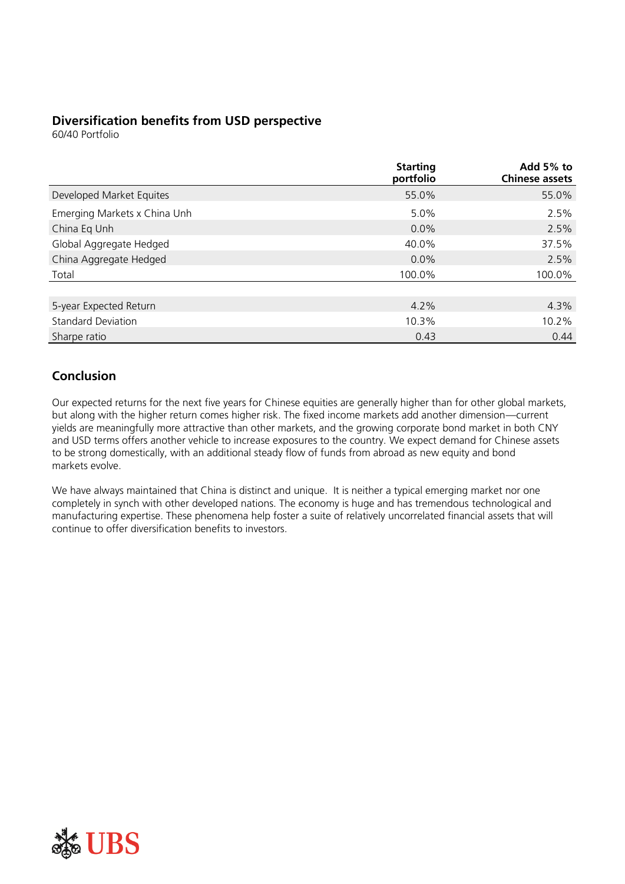## **Diversification benefits from USD perspective**

60/40 Portfolio

|                              | <b>Starting</b><br>portfolio | Add 5% to<br><b>Chinese assets</b> |
|------------------------------|------------------------------|------------------------------------|
| Developed Market Equites     | 55.0%                        | 55.0%                              |
| Emerging Markets x China Unh | 5.0%                         | 2.5%                               |
| China Eq Unh                 | 0.0%                         | 2.5%                               |
| Global Aggregate Hedged      | 40.0%                        | 37.5%                              |
| China Aggregate Hedged       | 0.0%                         | 2.5%                               |
| Total                        | 100.0%                       | 100.0%                             |
|                              |                              |                                    |
| 5-year Expected Return       | 4.2%                         | 4.3%                               |
| <b>Standard Deviation</b>    | 10.3%                        | 10.2%                              |
| Sharpe ratio                 | 0.43                         | 0.44                               |

## **Conclusion**

Our expected returns for the next five years for Chinese equities are generally higher than for other global markets, but along with the higher return comes higher risk. The fixed income markets add another dimension—current yields are meaningfully more attractive than other markets, and the growing corporate bond market in both CNY and USD terms offers another vehicle to increase exposures to the country. We expect demand for Chinese assets to be strong domestically, with an additional steady flow of funds from abroad as new equity and bond markets evolve.

We have always maintained that China is distinct and unique. It is neither a typical emerging market nor one completely in synch with other developed nations. The economy is huge and has tremendous technological and manufacturing expertise. These phenomena help foster a suite of relatively uncorrelated financial assets that will continue to offer diversification benefits to investors.